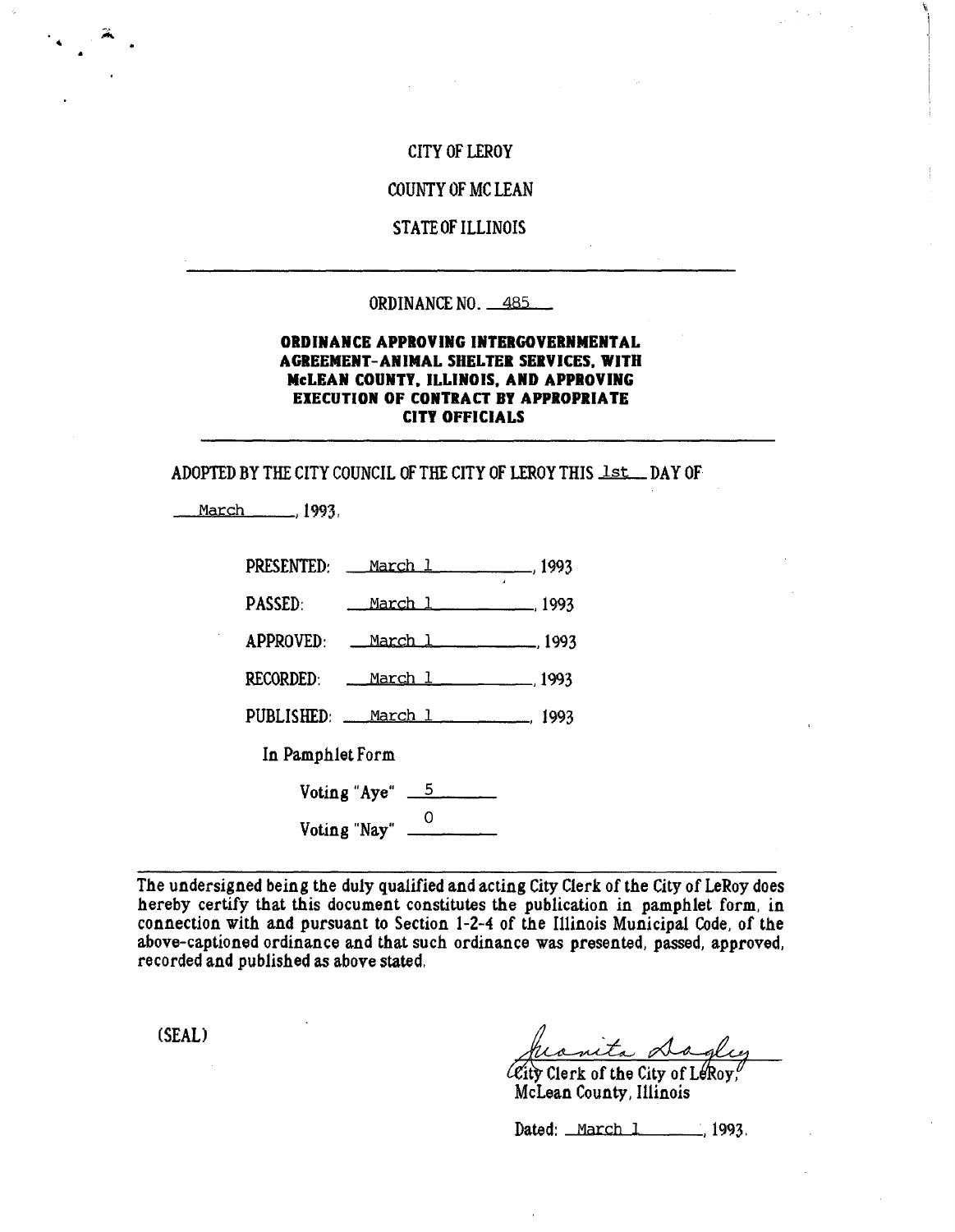# CITY OF LEROY

G

### COUNTY OF MC LEAN

### STATE OF ILLINOIS

#### ORDINANCE NO. 485

### ORDINANCE APPROVING INTERGOVERNMENTAL AGREEMENT-ANIMAL SHELTER SERVICES. WITH McLEAN COUNTY. ILLINOIS. AND APPROVING EXECUTION OF CONTRACT BY APPROPRIATE CITY OFFICIALS

ADOPTED BY THE CITY COUNCIL OF THE CITY OF LEROY THIS lst\_DAY OF

March ,1993,

| PRESENTED: March 1 (1993)               |  |
|-----------------------------------------|--|
| <b>PASSED:</b><br><u>March 1 (1993)</u> |  |
| APPROVED: <u>March 1</u> , 1993         |  |
| RECORDED: <u>March 1</u> 1993           |  |
| PUBLISHED: March 1 (1993)               |  |
| In Pamphlet Form                        |  |
| Voting "Aye" $\frac{5}{2}$              |  |
| Voting "Nay" $\frac{0}{\sqrt{0}}$       |  |

The undersigned being the duly qualified and acting City Clerk of the City of LeRoy does hereby certify that this document constitutes the publication in pamphlet form, in connection with and pursuant to Section 1-2-4 of the Illinois Municipal Code, of the above-captioned ordinance and that such ordinance was presented, passed, approved, recorded and published as above stated,

(SEAL)

 $\ell$  City Clerk of the City of LeRoy, McLean County, Illinois

Dated: March 1 1993.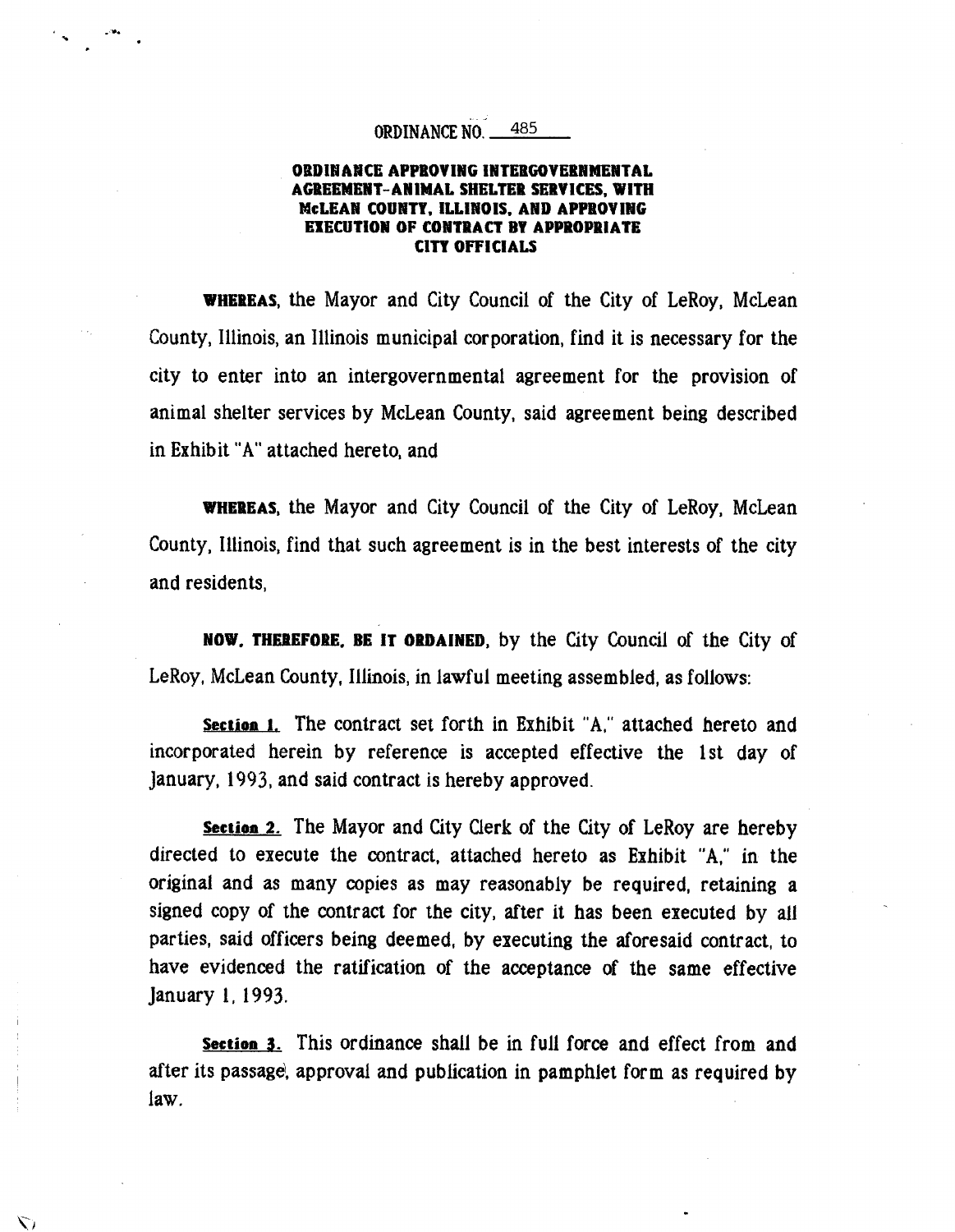# ORDINANCE NO. 485

### ORDINANCE APPROVING INTERGOVERNMENTAL AGREEMENT-ANIMAL SHELTER SERVICES, WITH McLEAN COUNTY, ILLINOIS, AND APPROVING EXECUTION OF CONTRACT BY APPROPRIATE CITY OFFICIALS

WHEREAS, the Mayor and City Council of the City of LeRoy, McLean County, Illinois, an Illinois municipal corporation, find it is necessary for the city to enter into an intergovernmental agreement for the provision of animal shelter services by McLean County, said agreement being described in Exhibit "A" attached hereto, and

WHEREAS, the Mayor and City Council of the City of LeRoy, McLean County, Illinois, find that such agreement is in the best interests of the city and residents,

NOW, THEREFORE. BE IT ORDAINED, by the City Council of the City of LeRoy, McLean County, Illinois, in lawful meeting assembled, as follows:

**Section 1.** The contract set forth in Exhibit "A," attached hereto and incorporated herein by reference is accepted effective the 1st day of January, 1993, and said contract is hereby approved.

**Section 2.** The Mayor and City Clerk of the City of LeRoy are hereby directed to execute the contract, attached hereto as Exhibit "A," in the original and as many copies as may reasonably be required, retaining a signed copy of the contract for the city, after it has been executed by all parties, said officers being deemed, by executing the aforesaid contract, to have evidenced the ratification of the acceptance of the same effective January 1, 1993.

**Section 3.** This ordinance shall be in full force and effect from and after its passage, approval and publication in pamphlet form as required by law.

い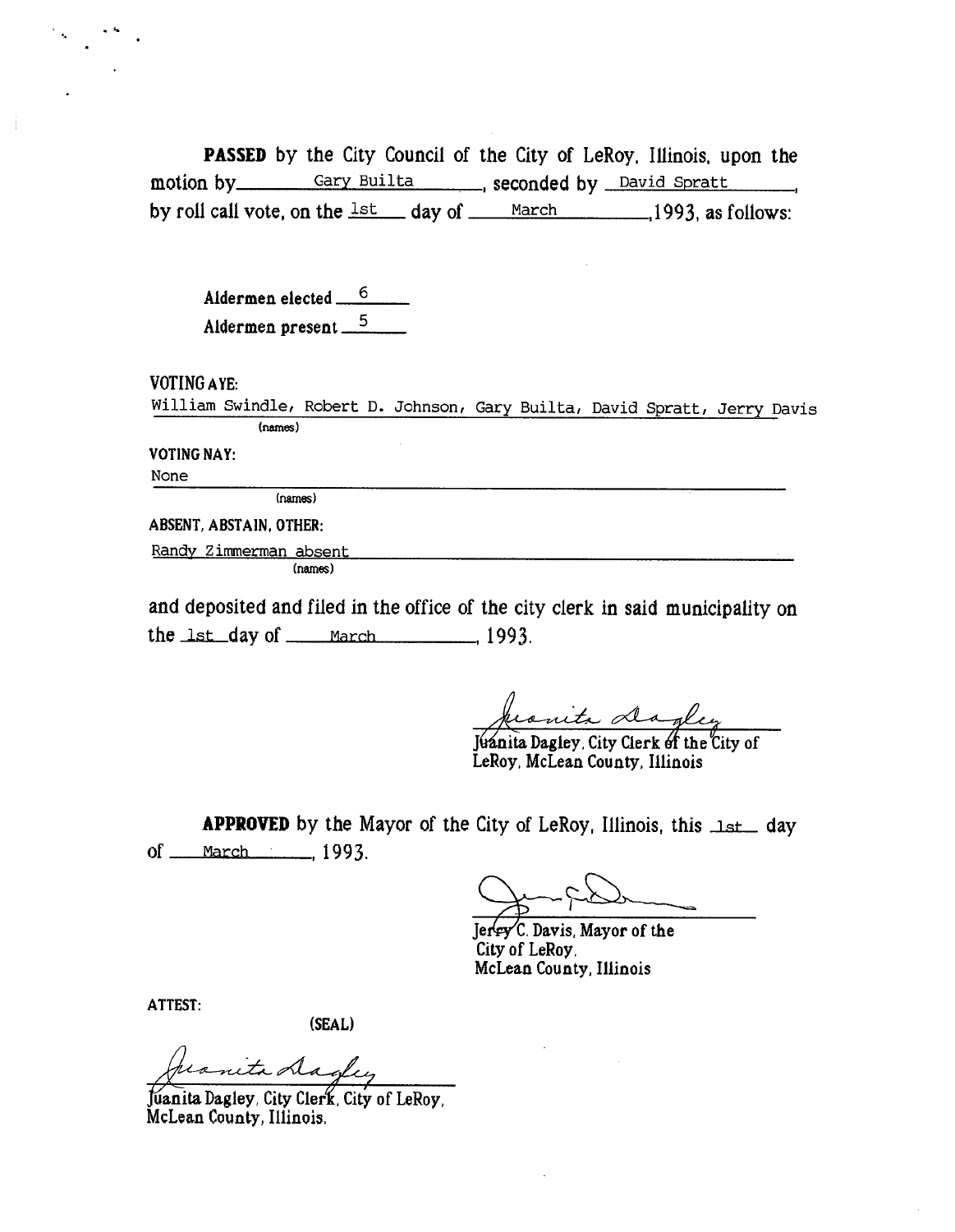PASSED by the City Council of the City of LeRoy, Illinois, upon the motion by Gary Builta , seconded by David Spratt by roll call vote, on the  $\frac{1st}{s}$  day of March 1993, as follows:

Aldermen elected  $\frac{6}{5}$ Aldermen present 5

VOTING AYE:

William Swindle, Robert D. Johnson, Gary Builta, David Spratt, Jerry Davis (names)

VOTING NAY:

None

(names)

ABSENT, ABSTAIN, OTHER:

Randy Zimmerman absent

(names)

and deposited and filed in the office of the city clerk in said municipality on the  $\text{lst}$  day of <u>march</u>  $\frac{1993}{1993}$ 

Juanita Dagley, City Clerk of the City of LeRoy, McLean County, Illinois

**APPROVED** by the Mayor of the City of LeRoy, Illinois, this  $1st$  day of <u>March (1993</u>,

Jun 70

 $Jer$ Fy C. Davis, Mayor of the City of LeRoy, McLean County, Illinois

ATTEST:

(SEAL)

nita Dagley

Juanita Dagley, City Clerk, City of LeRoy, McLean County, Illinois,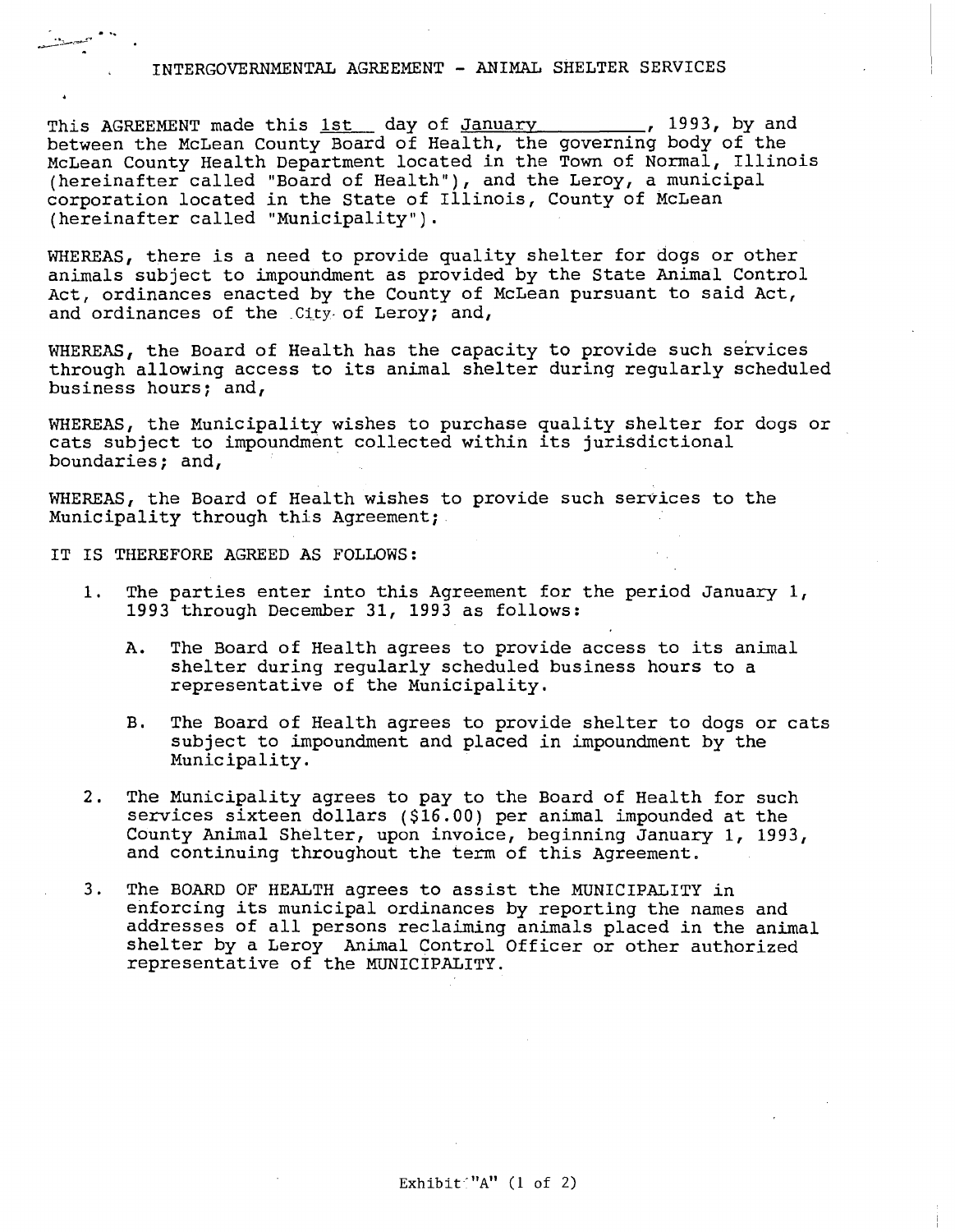#### INTERGOVERNMENTAL AGREEMENT - ANIMAL SHELTER SERVICES

This AGREEMENT made this 1st day of January 1993, by and between the McLean County Board of Health, the governing body of the McLean County Health Department located in the Town of Normal, Illinois (hereinafter called "Board of Health"), and the Leroy, a municipal corporation located in the State of Illinois, County of McLean (hereinafter called "Municipality").

WHEREAS, there is a need to provide quality shelter for dogs or other animals subject to impoundment as provided by the State Animal Control Act, ordinances enacted by the County of McLean pursuant to said Act, and ordinances of the .City of Leroy; and,

WHEREAS, the Board of Health has the capacity to provide such services through allowing access to its animal shelter during regularly scheduled business hours; and,

WHEREAS, the Municipality wishes to purchase quality shelter for dogs or cats subject to impoundment collected within its jurisdictional boundaries; and,

WHEREAS, the Board of Health wishes to provide such services to the Municipality through this Agreement;

IT IS THEREFORE AGREED AS FOLLOWS:

- 1. The parties enter into this Agreement for the period January 1, 1993 through December 31, 1993 as follows:
	- A. The Board of Health agrees to provide access to its animal shelter during regularly scheduled business hours to a representative of the Municipality.
	- B. The Board of Health agrees to provide shelter to dogs or cats subject to impoundment and placed in impoundment by the Municipality.
- 2. The Municipality agrees to pay to the Board of Health for such services sixteen dollars (\$16.00) per animal impounded at the County Animal Shelter, upon invoice, beginning January 1, 1993, and continuing throughout the term of this Agreement.
- 3. The BOARD OF HEALTH agrees to assist the MUNICIPALITY in enforcing its municipal ordinances by reporting the names and addresses of all persons reclaiming animals placed in the animal shelter by a. Leroy Animal Control Officer or other authorized representative of the MUNICIPALITY.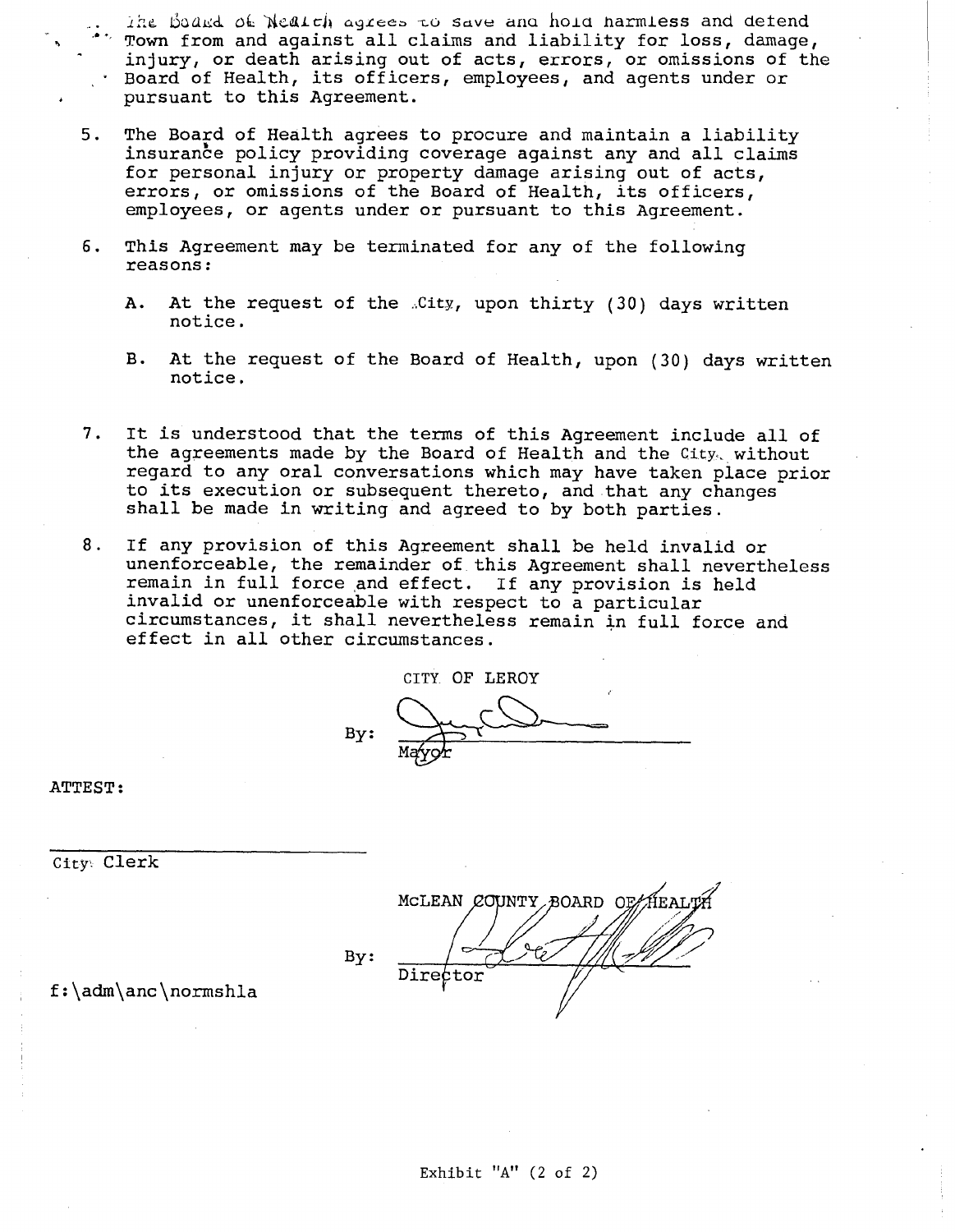The Board of Nealth agrees to save and hold harmless and defend Town from and against all claims and liability for loss, damage, injury, or death arising out of acts, errors, or omissions of the Board of Health, its officers, employees, and agents under or pursuant to this Agreement.

- 5. The Board of Health agrees to procure and maintain a liability insurance policy providing coverage against any and all claims for personal injury or property damage arising out of acts, errors, or omissions of the Board of Health, its officers, employees, or agents under or pursuant to this Agreement.
- 6. This Agreement may be terminated for any of the following reasons:
	- A. At the request of the .City, upon thirty (30) days written notice.
	- B. At the request of the Board of Health, upon (30) days written notice.
- 7. It is understood that the terms of this Agreement include all of the agreements made by the Board of Health and the City,. without regard to any oral conversations which may have taken place prior to its execution or subsequent thereto, and that any changes shall be made in writing and agreed to by both parties.
- 8. If any provision of this Agreement shall be held invalid or unenforceable, the remainder of this Agreement shall nevertheless remain in full force and effect. If any provision is held invalid or unenforceable with respect to a particular circumstances, it shall nevertheless remain in full force and effect in all other circumstances.

CITY OF LEROY By: M

ATTEST:

City Clerk

MCLEAN COUNTY BOARD OF HEALTH By: Director

f:\adm\anc\normshia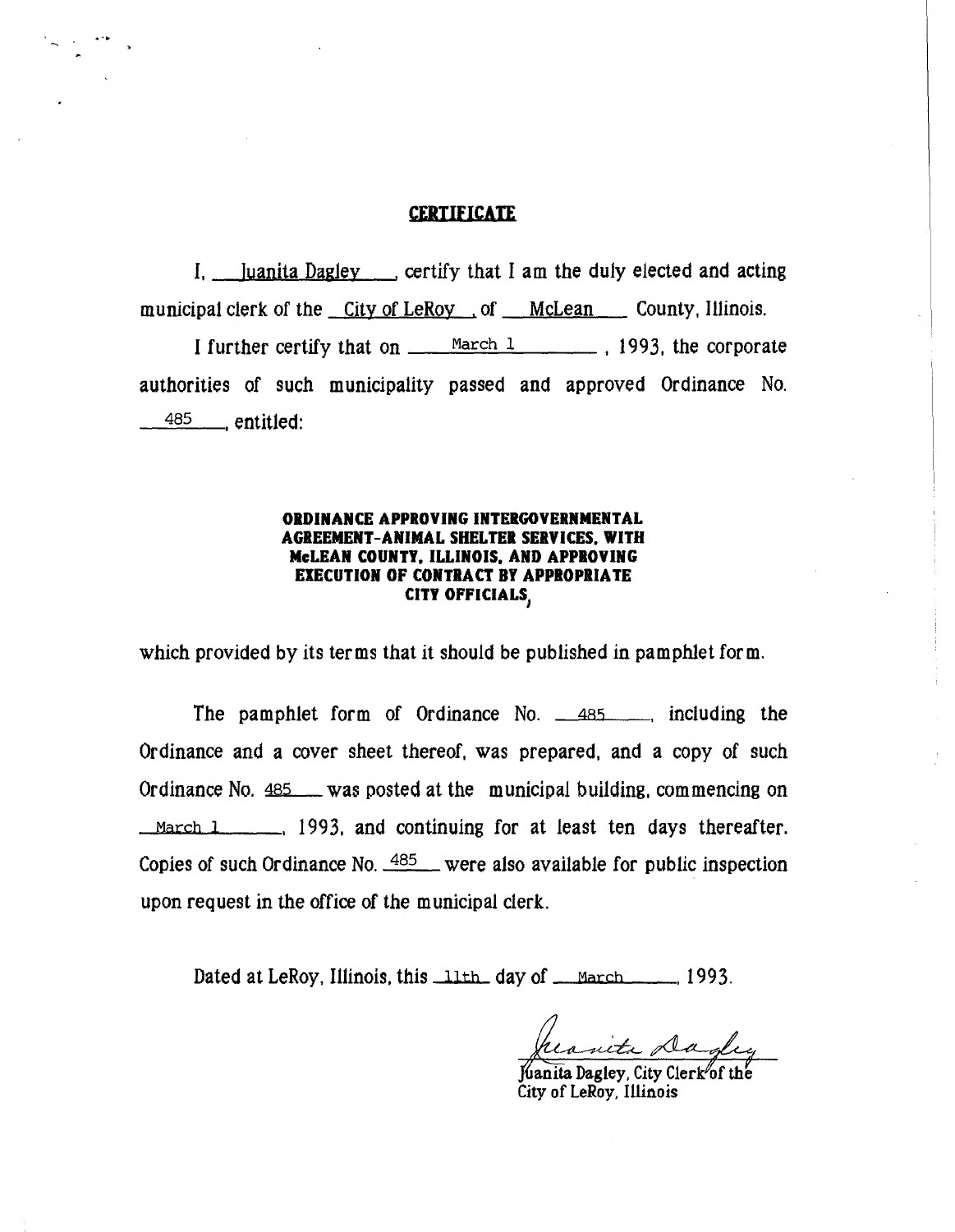# **CERTIFICATE**

I, Juanita Dagley certify that I am the duly elected and acting municipal clerk of the City of LeRoy ... of McLean County, Illinois.

I further certify that on  $\frac{\text{March } 1}{\text{March } 1}$ , 1993, the corporate authorities of such municipality passed and approved Ordinance No.  $\frac{485}{ }$  entitled:

### ORDINANCE APPROVING INTERGOVERNMENTAL AGREEMENT-ANIMAL SHELTER SERVICES. WITH McLEAN COUNTY. ILLINOIS. AND APPROVING EXECUTION OF CONTRACT BY APPROPRIATE CITY OFFICIALS,

which provided by its terms that it should be published in pamphlet form.

The pamphlet form of Ordinance No.  $\frac{485}{485}$  including the Ordinance and a cover sheet thereof, was prepared, and a copy of such Ordinance No. 485 was posted at the municipal building, commencing on  $March 1$ , 1993, and continuing for at least ten days thereafter. Copies of such Ordinance No.  $485$  were also available for public inspection upon request in the office of the municipal clerk.

Dated at LeRoy, Illinois, this 11th day of <u>March 1993</u>.

ueta D

Kanita Dagley, City Clerk of the City of LeRoy, Illinois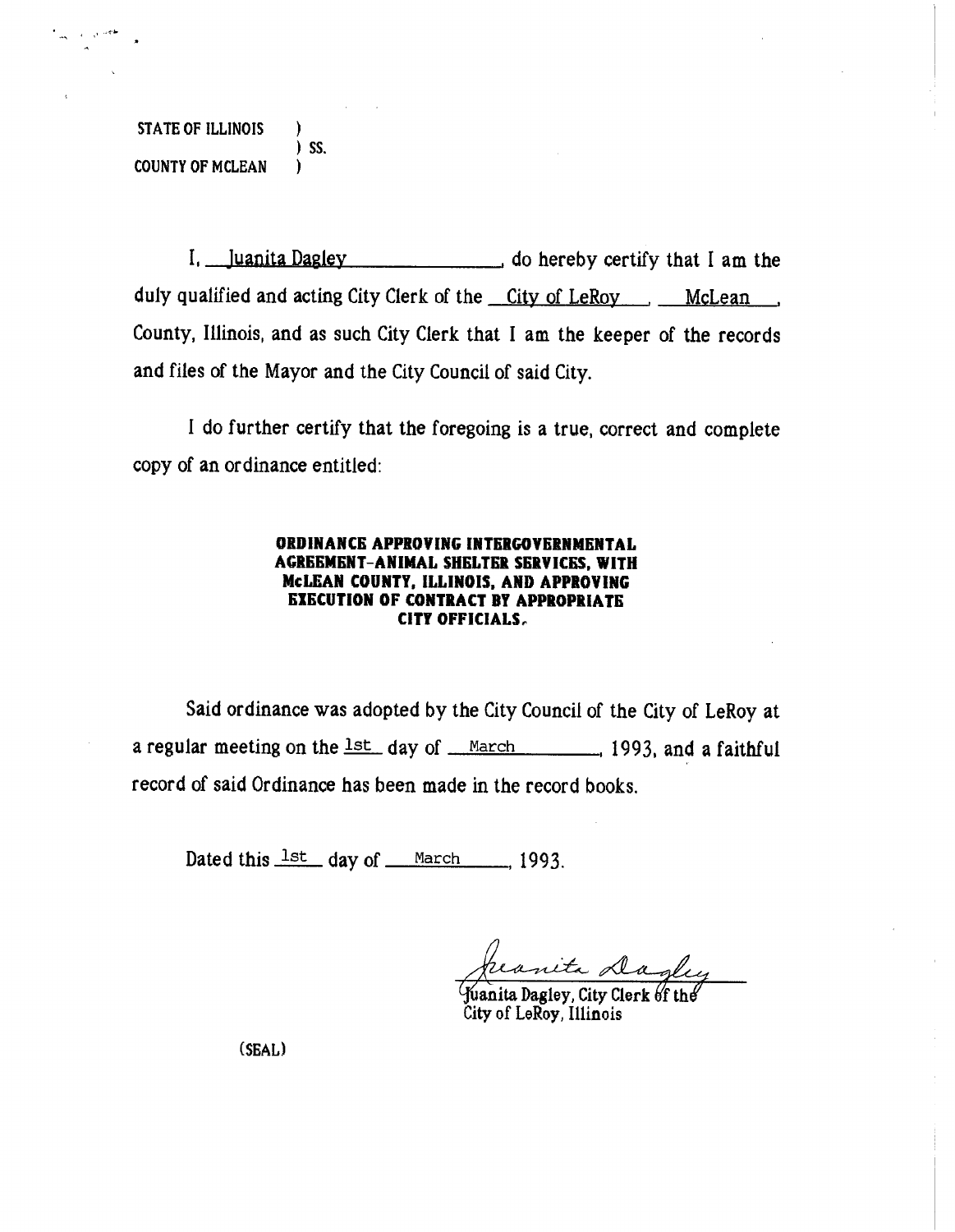STATE OF ILLINOIS ) ) SS. COUNTY OF MCLEAN

I, Juanita Dagley . do hereby certify that I am the duly qualified and acting City Clerk of the <u>City of LeRoy [McLean</u>] County, Illinois, and as such City Clerk that I am the keeper of the records and files of the Mayor and the City Council of said City.

I do further certify that the foregoing is a true, correct and complete copy of an ordinance entitled:

#### ORDINANCE APPROVING INTERGOVERNMENTAL AGREEMENT-ANIMAL SHELTER SERVICES, WITH MCLEAN COUNTY, ILLINOIS, AND APPROVING EXECUTION OF CONTRACT BY APPROPRIATE CITY OFFICIALS.

Said ordinance was adopted by the City Council of the City of LeRoy at a regular meeting on the  $1st$  day of March , 1993, and a faithful record of said Ordinance has been made in the record books.

Dated this  $\frac{1st}{1}$  day of March 1993.

o

fuanita Dagley, City Clerk  $6f$  the City of LeRoy, Illinois

(SEAL)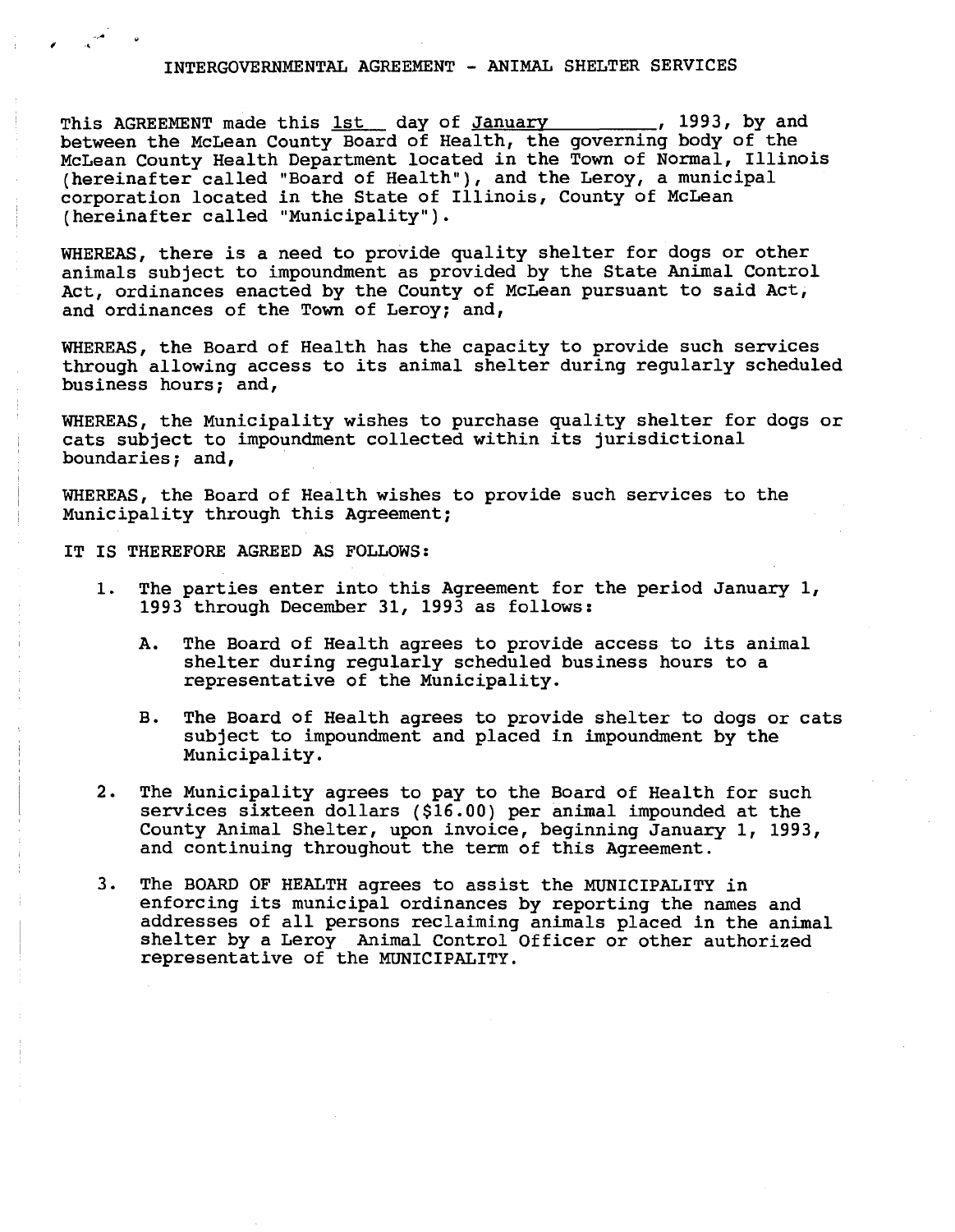#### INTERGOVERNMENTAL AGREEMENT - ANIMAL SHELTER SERVICES

This AGREEMENT made this <u>1st</u> day of January 1993, by and between the McLean County Board of Health, the governing body of the McLean County Health Department located in the Town of Normal, Illinois (hereinafter called "Board of Health"), and the Leroy, a municipal corporation located in the State of Illinois, County of McLean (hereinafter called "Municipality").

WHEREAS, there is a need to provide quality shelter for dogs or other animals subject to impoundment as provided by the State Animal Control Act, ordinances enacted by the County of McLean pursuant to said Act, and ordinances of the Town of Leroy; and,

WHEREAS, the Board of Health has the capacity to provide such services through allowing access to its animal shelter during regularly scheduled business hours; and,

WHEREAS, the Municipality wishes to purchase quality shelter for dogs or cats subject to impoundment collected within its jurisdictional boundaries; and,

WHEREAS, the Board of Health wishes to provide such services to the Municipality through this Agreement;

IT IS THEREFORE AGREED AS FOLLOWS:

- 1. The parties enter into this Agreement for the period January 1, 1993 through December 31, 1993 as follows:
	- A. The Board of Health agrees to provide access to its animal shelter during regularly scheduled business hours to a representative of the Municipality.
	- B. The Board of Health agrees to provide shelter to dogs or cats subject to impoundment and placed in impoundment by the Municipality.
- 2. The Municipality agrees to pay to the Board of Health for such services sixteen dollars (\$16.00) per animal impounded at the County Animal Shelter, upon invoice, beginning January 1, 1993, and continuing throughout the term of this Agreement.
- 3. The BOARD OF HEALTH agrees to assist the MUNICIPALITY in enforcing its municipal ordinances by reporting the names and addresses of all persons reclaiming animals placed in the animal shelter by a Leroy Animal Control Officer or other authorized representative of the MUNICIPALITY.